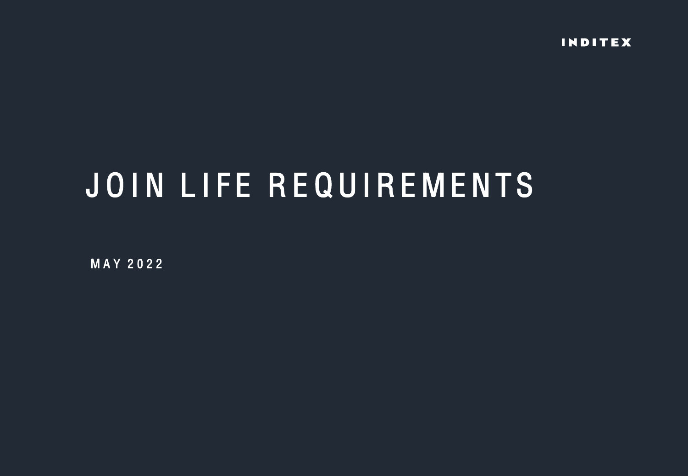**INDITEX** 

# JOIN LIFE REQUIREMENTS

M A Y 2 0 2 2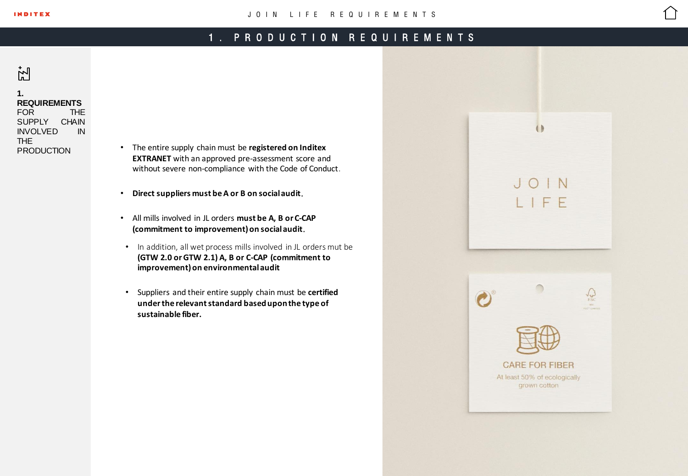## 1 . P R O D U C T I O N R E Q U I R E M E N T S

## $\mathbb{E}^+$

#### **1. REQUIREMENTS**

FOR THE SUPPLY CHAIN INVOLVED IN THE **PRODUCTION** 

- The entire supply chain must be **registered on Inditex EXTRANET** with an approved pre-assessment score and without severe non-compliance with the Code of Conduct.
- **Direct suppliers must be A or B on social audit**.
- All mills involved in JL orders **must be A, B or C-CAP (commitment to improvement) on social audit**.
- In addition, all wet process mills involved in JL orders mut be **(GTW 2.0 or GTW 2.1) A, B or C-CAP (commitment to improvement) on environmental audit**
- Suppliers and their entire supply chain must be **certified underthe relevantstandard baseduponthe type of sustainable fiber.**

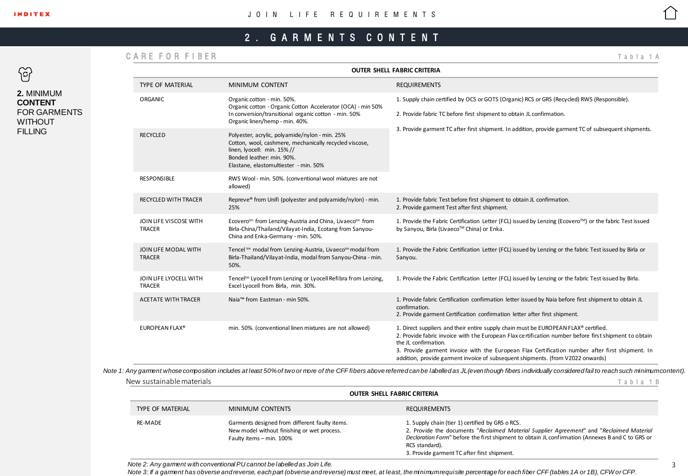## 2 . G A R M E N T S C O N T E N T

#### CARE FOR FIBER TABLE TO THE TABLE TO A RESERVE THE TABLE TO A REFORM THAT A RESERVE TO A REFORM THAT A RESERVE TO A REFORM THAT A REPORT OF TABLE TO A REFORM THAT A REFORM THAT A REFORM THAT A REPORT OF THE ORDER TO A REFO

 $\Theta$ 

**2.** MINIMUM **CONTENT** FOR GARMENTS WITHOUT FILLING

| <b>OUTER SHELL FABRIC CRITERIA</b>      |                                                                                                                                                                                                               |                                                                                                                                                                                                                                                                                                                                                                                                            |  |
|-----------------------------------------|---------------------------------------------------------------------------------------------------------------------------------------------------------------------------------------------------------------|------------------------------------------------------------------------------------------------------------------------------------------------------------------------------------------------------------------------------------------------------------------------------------------------------------------------------------------------------------------------------------------------------------|--|
| <b>TYPE OF MATERIAL</b>                 | <b>MINIMUM CONTENT</b>                                                                                                                                                                                        | <b>REQUIREMENTS</b>                                                                                                                                                                                                                                                                                                                                                                                        |  |
| ORGANIC                                 | Organic cotton - min. 50%.<br>Organic cotton - Organic Cotton Accelerator (OCA) - min 50%<br>In conversion/transitional organic cotton - min. 50%<br>Organic linen/hemp - min. 40%.                           | 1. Supply chain certified by OCS or GOTS (Organic) RCS or GRS (Recycled) RWS (Responsible).<br>2. Provide fabric TC before first shipment to obtain JL confirmation.<br>3. Provide garment TC after first shipment. In addition, provide garment TC of subsequent shipments.                                                                                                                               |  |
| <b>RECYCLED</b>                         | Polyester, acrylic, polyamide/nylon - min. 25%<br>Cotton, wool, cashmere, mechanically recycled viscose,<br>linen, lyocell: min. 15% //<br>Bonded leather: min. 90%.<br>Elastane, elastomultiester - min. 50% |                                                                                                                                                                                                                                                                                                                                                                                                            |  |
| <b>RESPONSIBLE</b>                      | RWS Wool - min. 50%. (conventional wool mixtures are not<br>allowed)                                                                                                                                          |                                                                                                                                                                                                                                                                                                                                                                                                            |  |
| <b>RECYCLED WITH TRACER</b>             | Repreve® from Unifi (polyester and polyamide/nylon) - min.<br>25%                                                                                                                                             | 1. Provide fabric Test before first shipment to obtain JL confirmation.<br>2. Provide garment Test after first shipment.                                                                                                                                                                                                                                                                                   |  |
| JOIN LIFE VISCOSE WITH<br><b>TRACER</b> | Ecovero <sup>tm</sup> from Lenzing-Austria and China, Livaeco <sup>tm</sup> from<br>Birla-China/Thailand/Vilayat-India, Ecotang from Sanyou-<br>China and Enka-Germany - min. 50%.                            | 1. Provide the Fabric Certification Letter (FCL) issued by Lenzing (Ecovero™) or the fabric Test issued<br>by Sanyou, Birla (Livaeco™ China) or Enka.                                                                                                                                                                                                                                                      |  |
| JOIN LIFE MODAL WITH<br><b>TRACER</b>   | Tencel tm modal from Lenzing-Austria, Livaecotm modal from<br>Birla-Thailand/Vilayat-India, modal from Sanyou-China - min.<br>50%.                                                                            | 1. Provide the Fabric Certification Letter (FCL) issued by Lenzing or the fabric Test issued by Birla or<br>Sanyou.                                                                                                                                                                                                                                                                                        |  |
| JOIN LIFE LYOCELL WITH<br><b>TRACER</b> | Tenceltm Lyocell from Lenzing or Lyocell Refibra from Lenzing,<br>Excel Lyocell from Birla, min. 30%.                                                                                                         | 1. Provide the Fabric Certification Letter (FCL) issued by Lenzing or the fabric Test issued by Birla.                                                                                                                                                                                                                                                                                                     |  |
| <b>ACETATE WITH TRACER</b>              | Naia <sup>™</sup> from Eastman - min 50%.                                                                                                                                                                     | 1. Provide fabric Certification confirmation letter issued by Naia before first shipment to obtain JL<br>confirmation.<br>2. Provide garment Certification confirmation letter after first shipment.                                                                                                                                                                                                       |  |
| <b>EUROPEAN FLAX®</b>                   | min. 50%. (conventional linen mixtures are not allowed)                                                                                                                                                       | 1. Direct suppliers and their entire supply chain must be EUROPEAN FLAX® certified.<br>2. Provide fabric invoice with the European Flax certification number before first shipment to obtain<br>the JL confirmation.<br>3. Provide garment invoice with the European Flax Certification number after first shipment. In<br>addition, provide garment invoice of subsequent shipments. (from V2022 onwards) |  |

New sustainablematerials T a b l a 1 B Note 1: Any garment whose composition includes at least 50% of two or more of the CFF fibers above referred can be labelled as JL (even though fibers individually considered fail to reach such minimum content).

| <b>OUTER SHELL FABRIC CRITERIA</b> |                                                                                                                           |                                                                                                                                                                                                                                                                                                                   |  |
|------------------------------------|---------------------------------------------------------------------------------------------------------------------------|-------------------------------------------------------------------------------------------------------------------------------------------------------------------------------------------------------------------------------------------------------------------------------------------------------------------|--|
| TYPE OF MATERIAL                   | MINIMUM CONTENTS                                                                                                          | REQUIREMENTS                                                                                                                                                                                                                                                                                                      |  |
| RE-MADE                            | Garments designed from different faulty items.<br>New model without finishing or wet process.<br>Faulty items - min. 100% | 1. Supply chain (tier 1) certified by GRS o RCS.<br>2. Provide the documents "Reclaimed Material Supplier Agreement" and "Reclaimed Material<br>Declaration Form" before the first shipment to obtain JL confirmation (Annexes B and C to GRS or<br>RCS standard).<br>3. Provide garment TC after first shipment. |  |

*Note 2: Any garment with conventional PU cannot be labelled as Join Life.*

Note 3: If a garment has obverse and reverse, each part (obverse and reverse) must meet, at least, the minimum requisite percentage for each fiber CFF (tables 1A or 1B), CFW or CFP.

3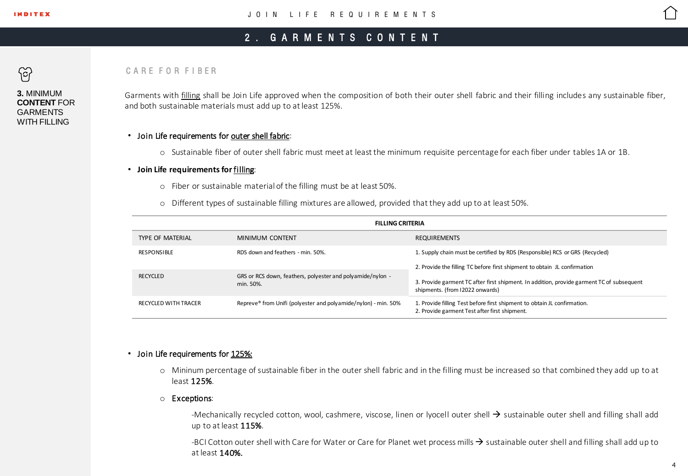## 2 . G A R M E N T S C O N T E N T

ငှဉ်

#### CARE FOR FIBER

**3.** MINIMUM **CONTENT** FOR GARMENTS WITH FILLING

Garments with filling shall be Join Life approved when the composition of both their outer shell fabric and their filling includes any sustainable fiber, and both sustainable materials must add up to at least 125%.

#### • Join Life requirements for outer shell fabric:

o Sustainable fiber of outer shell fabric must meet at least the minimum requisite percentage for each fiber under tables 1A or 1B.

#### • **Join Life requirementsfor**filling:

- o Fiber or sustainable materialof the filling must be at least 50%.
- o Different types of sustainable filling mixtures are allowed, provided that they add up to at least 50%.

| <b>FILLING CRITERIA</b> |                                                                         |                                                                                                                              |  |
|-------------------------|-------------------------------------------------------------------------|------------------------------------------------------------------------------------------------------------------------------|--|
| <b>TYPE OF MATERIAL</b> | <b>MINIMUM CONTENT</b>                                                  | <b>REQUIREMENTS</b>                                                                                                          |  |
| <b>RESPONSIBLE</b>      | RDS down and feathers - min. 50%.                                       | 1. Supply chain must be certified by RDS (Responsible) RCS or GRS (Recycled)                                                 |  |
|                         |                                                                         | 2. Provide the filling TC before first shipment to obtain JL confirmation                                                    |  |
| <b>RECYCLED</b>         | GRS or RCS down, feathers, polyester and polyamide/nylon -<br>min. 50%. | 3. Provide garment TC after first shipment. In addition, provide garment TC of subsequent<br>shipments. (from 12022 onwards) |  |
| RECYCLED WITH TRACER    | Repreve® from Unifi (polyester and polyamide/nylon) - min. 50%          | 1. Provide filling Test before first shipment to obtain JL confirmation.<br>2. Provide garment Test after first shipment.    |  |

#### • Join Life requirements for 125%:

o Mininum percentage of sustainable fiber in the outer shell fabric and in the filling must be increased so that combined they add up to at least 125%.

#### o Exceptions:

-Mechanically recycled cotton, wool, cashmere, viscose, linen or lyocell outer shell → sustainable outer shell and filling shall add up to at least 115%.

-BCI Cotton outer shell with Care for Water or Care for Planet wet process mills → sustainable outer shell and filling shall add up to at least 140%.